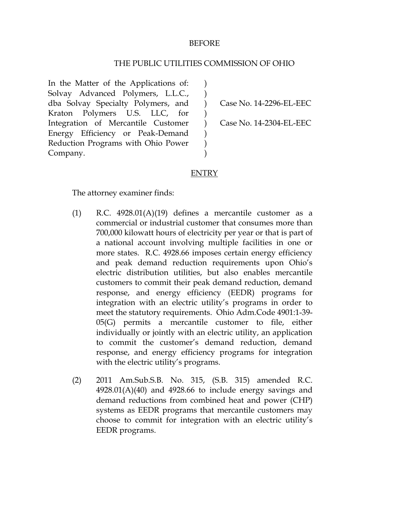### BEFORE

#### THE PUBLIC UTILITIES COMMISSION OF OHIO

 $\lambda$  $\left( \right)$  $\lambda$  $\mathcal{L}$  $\lambda$  $\mathcal{L}$ ) )

In the Matter of the Applications of: Solvay Advanced Polymers, L.L.C., dba Solvay Specialty Polymers, and Kraton Polymers U.S. LLC, for Integration of Mercantile Customer Energy Efficiency or Peak-Demand Reduction Programs with Ohio Power Company.

Case No. 14-2296-EL-EEC

Case No. 14-2304-EL-EEC

### ENTRY

The attorney examiner finds:

- (1) R.C.  $4928.01(A)(19)$  defines a mercantile customer as a commercial or industrial customer that consumes more than 700,000 kilowatt hours of electricity per year or that is part of a national account involving multiple facilities in one or more states. R.C. 4928.66 imposes certain energy efficiency and peak demand reduction requirements upon Ohio's electric distribution utilities, but also enables mercantile customers to commit their peak demand reduction, demand response, and energy efficiency (EEDR) programs for integration with an electric utility's programs in order to meet the statutory requirements. Ohio Adm.Code 4901:1-39- 05(G) permits a mercantile customer to file, either individually or jointly with an electric utility, an application to commit the customer's demand reduction, demand response, and energy efficiency programs for integration with the electric utility's programs.
- (2) 2011 Am.Sub.S.B. No. 315, (S.B. 315) amended R.C.  $4928.01(A)(40)$  and  $4928.66$  to include energy savings and demand reductions from combined heat and power (CHP) systems as EEDR programs that mercantile customers may choose to commit for integration with an electric utility's EEDR programs.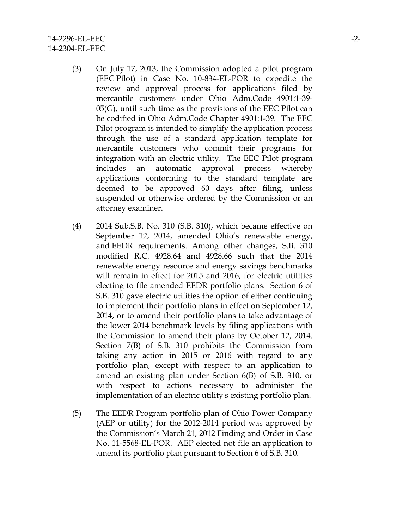- (3) On July 17, 2013, the Commission adopted a pilot program (EEC Pilot) in Case No. 10-834-EL-POR to expedite the review and approval process for applications filed by mercantile customers under Ohio Adm.Code 4901:1-39- 05(G), until such time as the provisions of the EEC Pilot can be codified in Ohio Adm.Code Chapter 4901:1-39. The EEC Pilot program is intended to simplify the application process through the use of a standard application template for mercantile customers who commit their programs for integration with an electric utility. The EEC Pilot program includes an automatic approval process whereby applications conforming to the standard template are deemed to be approved 60 days after filing, unless suspended or otherwise ordered by the Commission or an attorney examiner.
- (4) 2014 Sub.S.B. No. 310 (S.B. 310), which became effective on September 12, 2014, amended Ohio's renewable energy, and EEDR requirements. Among other changes, S.B. 310 modified R.C. 4928.64 and 4928.66 such that the 2014 renewable energy resource and energy savings benchmarks will remain in effect for 2015 and 2016, for electric utilities electing to file amended EEDR portfolio plans. Section 6 of S.B. 310 gave electric utilities the option of either continuing to implement their portfolio plans in effect on September 12, 2014, or to amend their portfolio plans to take advantage of the lower 2014 benchmark levels by filing applications with the Commission to amend their plans by October 12, 2014. Section 7(B) of S.B. 310 prohibits the Commission from taking any action in 2015 or 2016 with regard to any portfolio plan, except with respect to an application to amend an existing plan under Section 6(B) of S.B. 310, or with respect to actions necessary to administer the implementation of an electric utility's existing portfolio plan.
- (5) The EEDR Program portfolio plan of Ohio Power Company (AEP or utility) for the 2012-2014 period was approved by the Commission's March 21, 2012 Finding and Order in Case No. 11-5568-EL-POR. AEP elected not file an application to amend its portfolio plan pursuant to Section 6 of S.B. 310.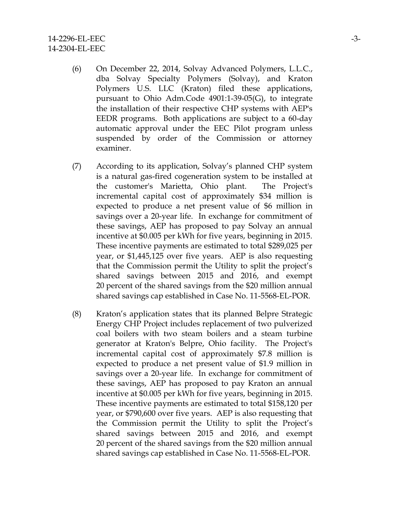- (6) On December 22, 2014, Solvay Advanced Polymers, L.L.C., dba Solvay Specialty Polymers (Solvay), and Kraton Polymers U.S. LLC (Kraton) filed these applications, pursuant to Ohio Adm.Code 4901:1-39-05(G), to integrate the installation of their respective CHP systems with AEP's EEDR programs. Both applications are subject to a 60-day automatic approval under the EEC Pilot program unless suspended by order of the Commission or attorney examiner.
- (7) According to its application, Solvay's planned CHP system is a natural gas-fired cogeneration system to be installed at the customer's Marietta, Ohio plant. The Project's incremental capital cost of approximately \$34 million is expected to produce a net present value of \$6 million in savings over a 20-year life. In exchange for commitment of these savings, AEP has proposed to pay Solvay an annual incentive at \$0.005 per kWh for five years, beginning in 2015. These incentive payments are estimated to total \$289,025 per year, or \$1,445,125 over five years. AEP is also requesting that the Commission permit the Utility to split the project's shared savings between 2015 and 2016, and exempt 20 percent of the shared savings from the \$20 million annual shared savings cap established in Case No. 11-5568-EL-POR.
- (8) Kraton's application states that its planned Belpre Strategic Energy CHP Project includes replacement of two pulverized coal boilers with two steam boilers and a steam turbine generator at Kraton's Belpre, Ohio facility. The Project's incremental capital cost of approximately \$7.8 million is expected to produce a net present value of \$1.9 million in savings over a 20-year life. In exchange for commitment of these savings, AEP has proposed to pay Kraton an annual incentive at \$0.005 per kWh for five years, beginning in 2015. These incentive payments are estimated to total \$158,120 per year, or \$790,600 over five years. AEP is also requesting that the Commission permit the Utility to split the Project's shared savings between 2015 and 2016, and exempt 20 percent of the shared savings from the \$20 million annual shared savings cap established in Case No. 11-5568-EL-POR.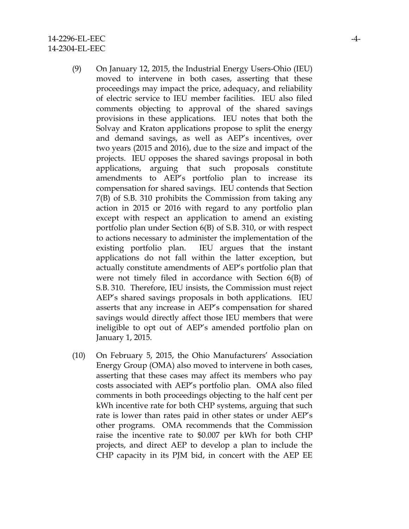- (9) On January 12, 2015, the Industrial Energy Users-Ohio (IEU) moved to intervene in both cases, asserting that these proceedings may impact the price, adequacy, and reliability of electric service to IEU member facilities. IEU also filed comments objecting to approval of the shared savings provisions in these applications. IEU notes that both the Solvay and Kraton applications propose to split the energy and demand savings, as well as AEP's incentives, over two years (2015 and 2016), due to the size and impact of the projects. IEU opposes the shared savings proposal in both applications, arguing that such proposals constitute amendments to AEP's portfolio plan to increase its compensation for shared savings. IEU contends that Section 7(B) of S.B. 310 prohibits the Commission from taking any action in 2015 or 2016 with regard to any portfolio plan except with respect an application to amend an existing portfolio plan under Section 6(B) of S.B. 310, or with respect to actions necessary to administer the implementation of the existing portfolio plan. IEU argues that the instant applications do not fall within the latter exception, but actually constitute amendments of AEP's portfolio plan that were not timely filed in accordance with Section 6(B) of S.B. 310. Therefore, IEU insists, the Commission must reject AEP's shared savings proposals in both applications. IEU asserts that any increase in AEP's compensation for shared savings would directly affect those IEU members that were ineligible to opt out of AEP's amended portfolio plan on January 1, 2015.
- (10) On February 5, 2015, the Ohio Manufacturers' Association Energy Group (OMA) also moved to intervene in both cases, asserting that these cases may affect its members who pay costs associated with AEP's portfolio plan. OMA also filed comments in both proceedings objecting to the half cent per kWh incentive rate for both CHP systems, arguing that such rate is lower than rates paid in other states or under AEP's other programs. OMA recommends that the Commission raise the incentive rate to \$0.007 per kWh for both CHP projects, and direct AEP to develop a plan to include the CHP capacity in its PJM bid, in concert with the AEP EE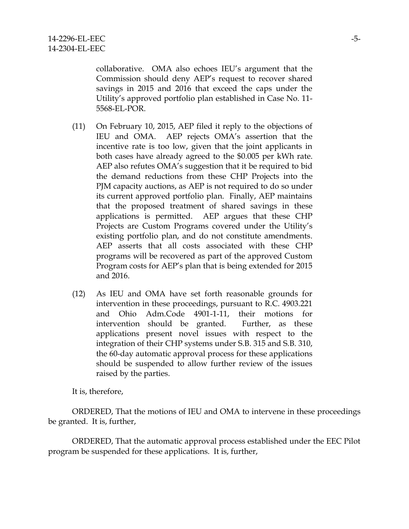collaborative. OMA also echoes IEU's argument that the Commission should deny AEP's request to recover shared savings in 2015 and 2016 that exceed the caps under the Utility's approved portfolio plan established in Case No. 11- 5568-EL-POR.

- (11) On February 10, 2015, AEP filed it reply to the objections of IEU and OMA. AEP rejects OMA's assertion that the incentive rate is too low, given that the joint applicants in both cases have already agreed to the \$0.005 per kWh rate. AEP also refutes OMA's suggestion that it be required to bid the demand reductions from these CHP Projects into the PJM capacity auctions, as AEP is not required to do so under its current approved portfolio plan. Finally, AEP maintains that the proposed treatment of shared savings in these applications is permitted. AEP argues that these CHP Projects are Custom Programs covered under the Utility's existing portfolio plan, and do not constitute amendments. AEP asserts that all costs associated with these CHP programs will be recovered as part of the approved Custom Program costs for AEP's plan that is being extended for 2015 and 2016.
- (12) As IEU and OMA have set forth reasonable grounds for intervention in these proceedings, pursuant to R.C. 4903.221 and Ohio Adm.Code 4901-1-11, their motions for intervention should be granted. Further, as these applications present novel issues with respect to the integration of their CHP systems under S.B. 315 and S.B. 310, the 60-day automatic approval process for these applications should be suspended to allow further review of the issues raised by the parties.

It is, therefore,

ORDERED, That the motions of IEU and OMA to intervene in these proceedings be granted. It is, further,

ORDERED, That the automatic approval process established under the EEC Pilot program be suspended for these applications. It is, further,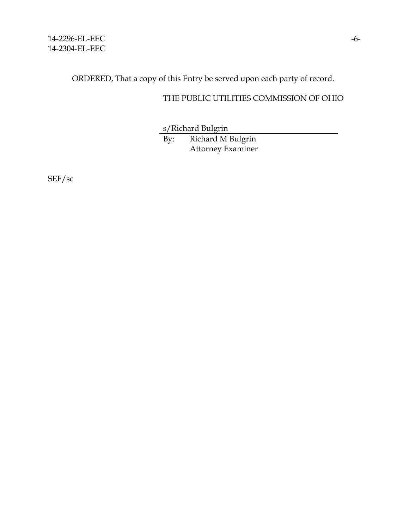ORDERED, That a copy of this Entry be served upon each party of record.

# THE PUBLIC UTILITIES COMMISSION OF OHIO

s/Richard Bulgrin

By: Richard M Bulgrin Attorney Examiner

SEF/sc